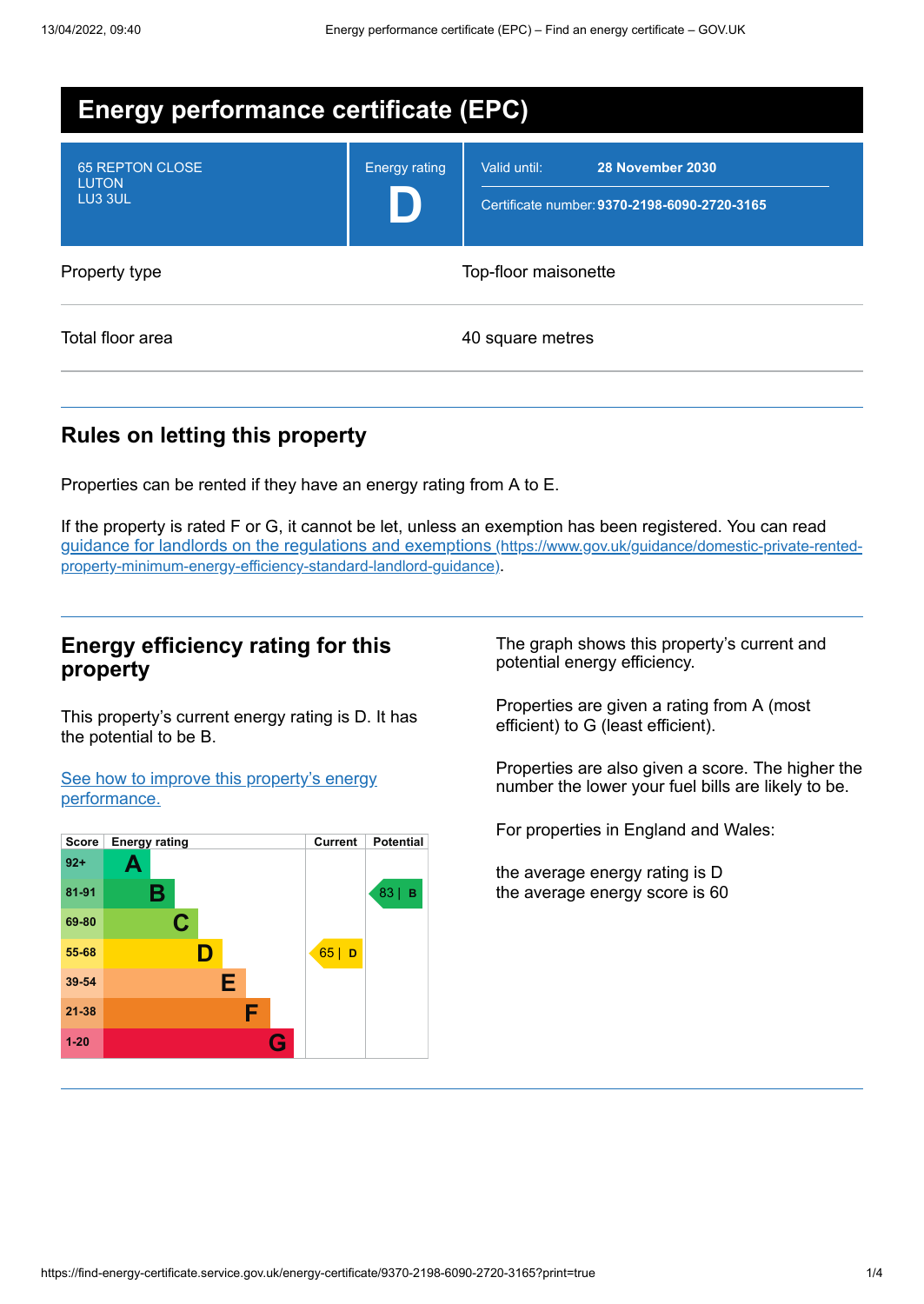| <b>Energy performance certificate (EPC)</b>       |                      |                                                                                  |  |
|---------------------------------------------------|----------------------|----------------------------------------------------------------------------------|--|
| <b>65 REPTON CLOSE</b><br><b>LUTON</b><br>LU3 3UL | <b>Energy rating</b> | 28 November 2030<br>Valid until:<br>Certificate number: 9370-2198-6090-2720-3165 |  |
| Property type                                     |                      | Top-floor maisonette                                                             |  |
| Total floor area                                  |                      | 40 square metres                                                                 |  |

# **Rules on letting this property**

Properties can be rented if they have an energy rating from A to E.

If the property is rated F or G, it cannot be let, unless an exemption has been registered. You can read guidance for landlords on the regulations and exemptions (https://www.gov.uk/guidance/domestic-private-rented[property-minimum-energy-efficiency-standard-landlord-guidance\)](https://www.gov.uk/guidance/domestic-private-rented-property-minimum-energy-efficiency-standard-landlord-guidance).

## **Energy efficiency rating for this property**

This property's current energy rating is D. It has the potential to be B.

See how to improve this property's energy [performance.](#page-2-0)



The graph shows this property's current and potential energy efficiency.

Properties are given a rating from A (most efficient) to G (least efficient).

Properties are also given a score. The higher the number the lower your fuel bills are likely to be.

For properties in England and Wales:

the average energy rating is D the average energy score is 60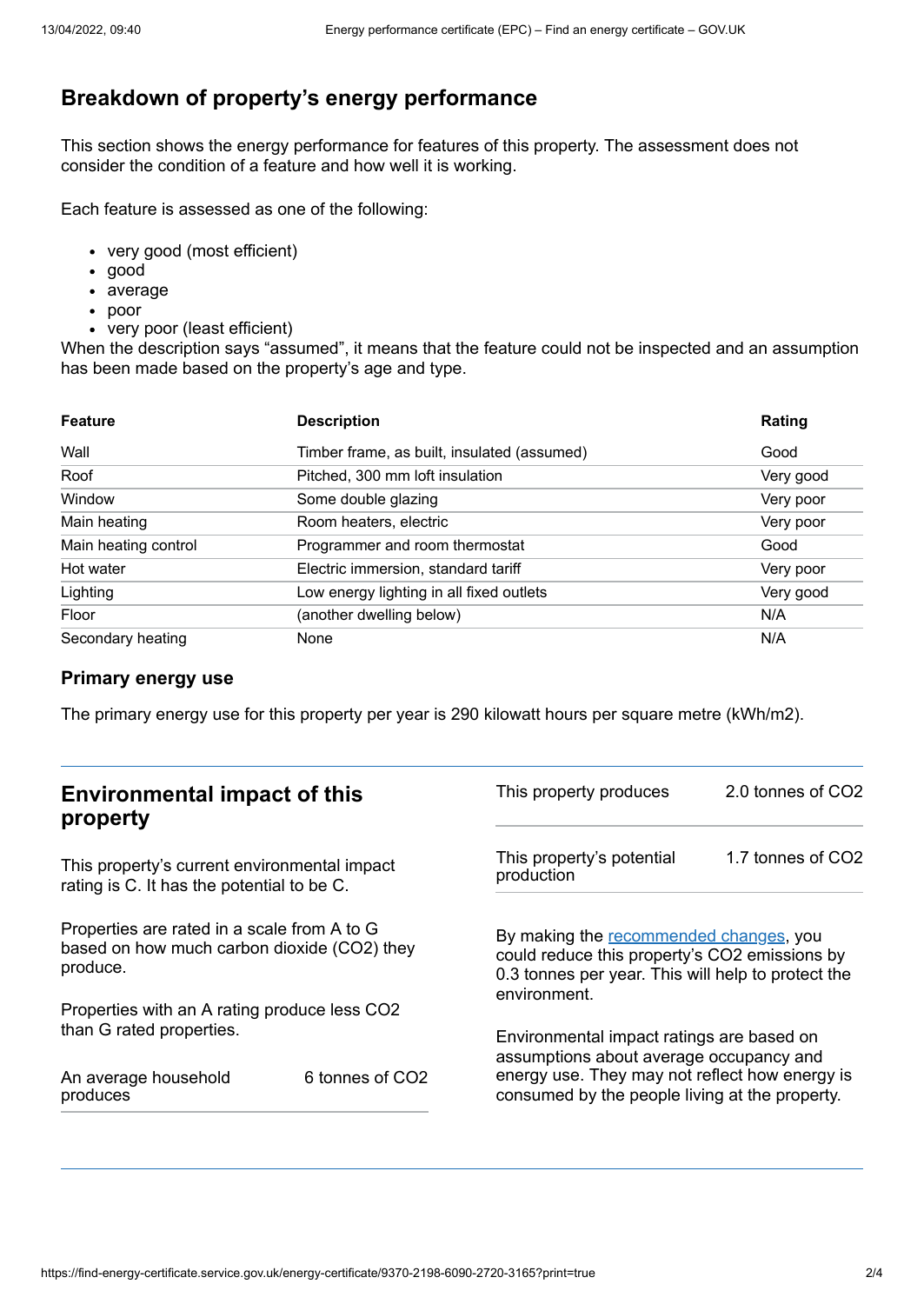## **Breakdown of property's energy performance**

This section shows the energy performance for features of this property. The assessment does not consider the condition of a feature and how well it is working.

Each feature is assessed as one of the following:

- very good (most efficient)
- good
- average
- poor
- very poor (least efficient)

When the description says "assumed", it means that the feature could not be inspected and an assumption has been made based on the property's age and type.

| <b>Feature</b>       | <b>Description</b>                          | Rating    |
|----------------------|---------------------------------------------|-----------|
| Wall                 | Timber frame, as built, insulated (assumed) | Good      |
| Roof                 | Pitched, 300 mm loft insulation             | Very good |
| Window               | Some double glazing                         | Very poor |
| Main heating         | Room heaters, electric                      | Very poor |
| Main heating control | Programmer and room thermostat              | Good      |
| Hot water            | Electric immersion, standard tariff         | Very poor |
| Lighting             | Low energy lighting in all fixed outlets    | Very good |
| Floor                | (another dwelling below)                    | N/A       |
| Secondary heating    | None                                        | N/A       |

#### **Primary energy use**

The primary energy use for this property per year is 290 kilowatt hours per square metre (kWh/m2).

| <b>Environmental impact of this</b><br>property                                                        |                             | This property produces                                                                                                                                        | 2.0 tonnes of CO2 |
|--------------------------------------------------------------------------------------------------------|-----------------------------|---------------------------------------------------------------------------------------------------------------------------------------------------------------|-------------------|
| This property's current environmental impact<br>rating is C. It has the potential to be C.             |                             | This property's potential<br>production                                                                                                                       | 1.7 tonnes of CO2 |
| Properties are rated in a scale from A to G<br>based on how much carbon dioxide (CO2) they<br>produce. |                             | By making the recommended changes, you<br>could reduce this property's CO2 emissions by<br>0.3 tonnes per year. This will help to protect the<br>environment. |                   |
| Properties with an A rating produce less CO2                                                           |                             |                                                                                                                                                               |                   |
| than G rated properties.                                                                               |                             | Environmental impact ratings are based on<br>assumptions about average occupancy and                                                                          |                   |
| An average household<br>produces                                                                       | 6 tonnes of CO <sub>2</sub> | energy use. They may not reflect how energy is<br>consumed by the people living at the property.                                                              |                   |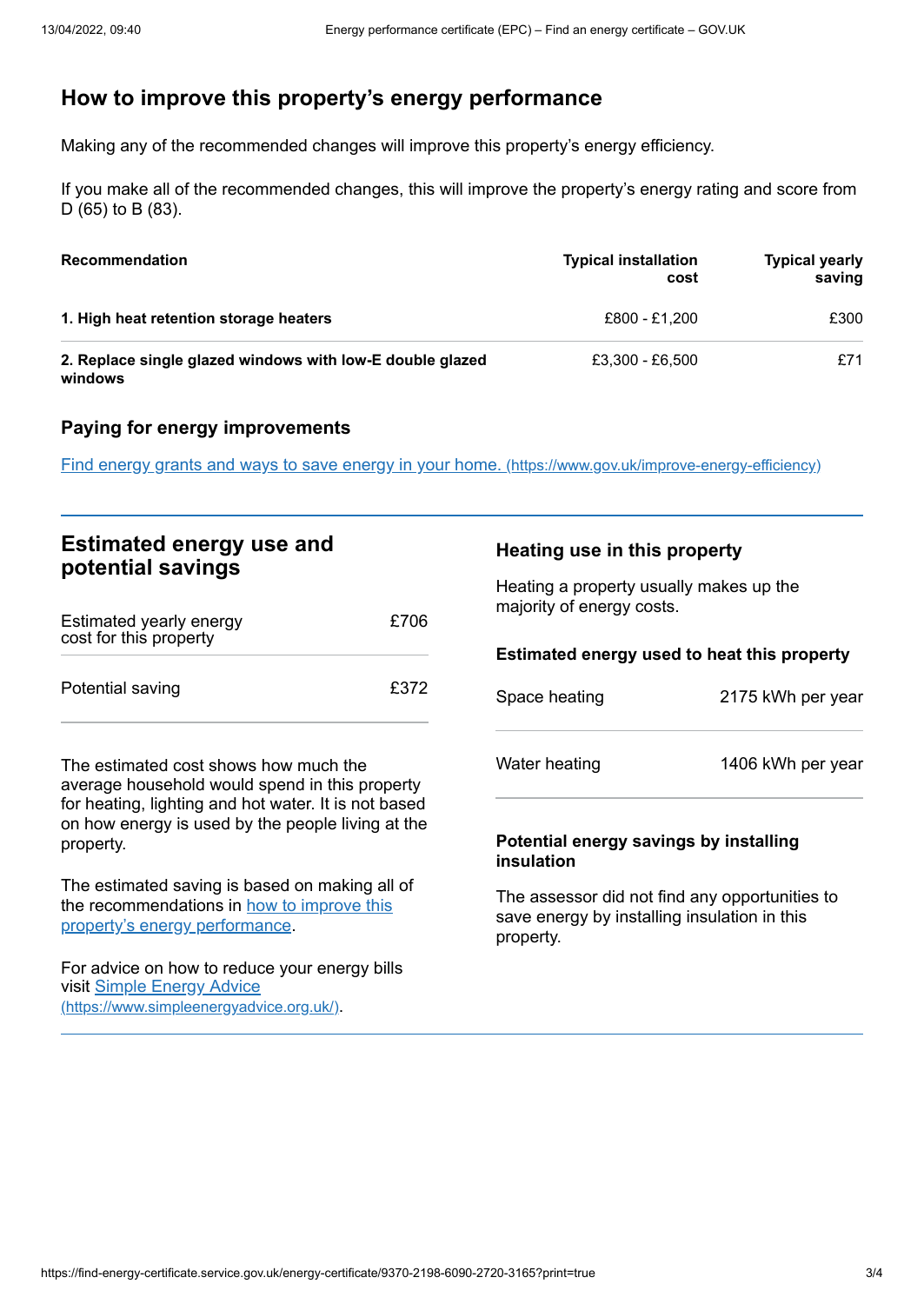# <span id="page-2-0"></span>**How to improve this property's energy performance**

Making any of the recommended changes will improve this property's energy efficiency.

If you make all of the recommended changes, this will improve the property's energy rating and score from D (65) to B (83).

| <b>Recommendation</b>                                                | <b>Typical installation</b><br>cost | <b>Typical yearly</b><br>saving |
|----------------------------------------------------------------------|-------------------------------------|---------------------------------|
| 1. High heat retention storage heaters                               | £800 - £1.200                       | £300                            |
| 2. Replace single glazed windows with low-E double glazed<br>windows | £3,300 - £6,500                     | £71                             |

#### **Paying for energy improvements**

Find energy grants and ways to save energy in your home. [\(https://www.gov.uk/improve-energy-efficiency\)](https://www.gov.uk/improve-energy-efficiency)

## **Estimated energy use and potential savings**

| Estimated yearly energy<br>cost for this property | £706 |
|---------------------------------------------------|------|
| Potential saving                                  | £372 |

The estimated cost shows how much the average household would spend in this property for heating, lighting and hot water. It is not based on how energy is used by the people living at the property.

The estimated saving is based on making all of the [recommendations](#page-2-0) in how to improve this property's energy performance.

For advice on how to reduce your energy bills visit Simple Energy Advice [\(https://www.simpleenergyadvice.org.uk/\)](https://www.simpleenergyadvice.org.uk/).

### **Heating use in this property**

Heating a property usually makes up the majority of energy costs.

| Estimated energy used to heat this property |                   |
|---------------------------------------------|-------------------|
| Space heating                               | 2175 kWh per year |
| Water heating                               | 1406 kWh per year |

#### **Potential energy savings by installing insulation**

The assessor did not find any opportunities to save energy by installing insulation in this property.